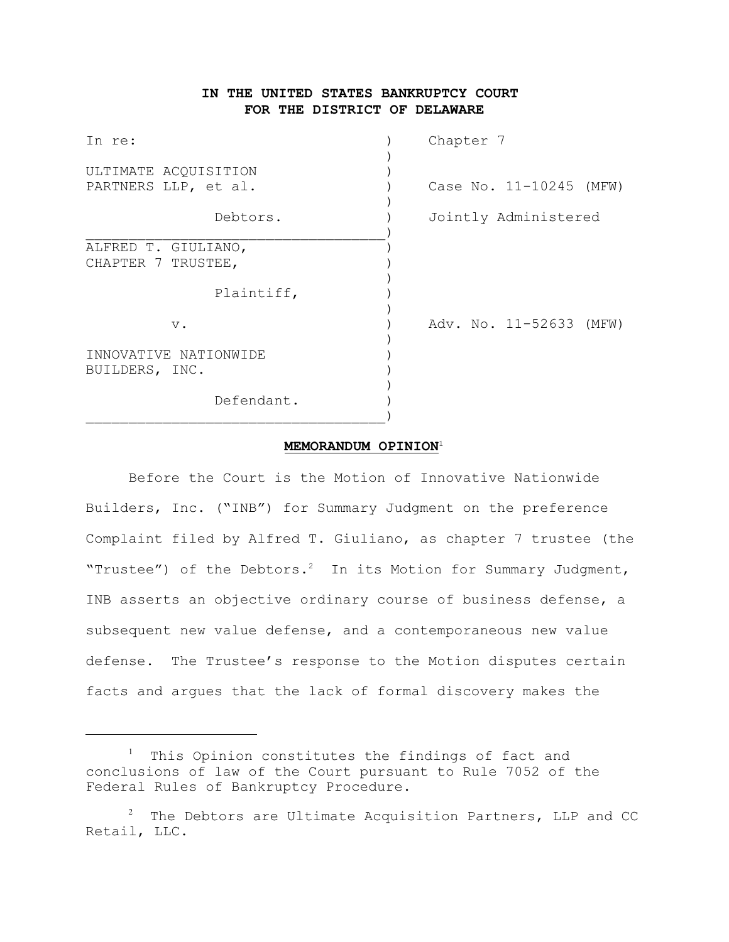# **IN THE UNITED STATES BANKRUPTCY COURT FOR THE DISTRICT OF DELAWARE**

| In re:                                  | Chapter 7               |
|-----------------------------------------|-------------------------|
| ULTIMATE ACQUISITION                    |                         |
| PARTNERS LLP, et al.                    | Case No. 11-10245 (MFW) |
| Debtors.                                | Jointly Administered    |
| ALFRED T. GIULIANO,                     |                         |
| CHAPTER 7 TRUSTEE,                      |                         |
| Plaintiff,                              |                         |
| $V$ .                                   | Adv. No. 11-52633 (MFW) |
| INNOVATIVE NATIONWIDE<br>BUILDERS, INC. |                         |
| Defendant.                              |                         |

### **MEMORANDUM OPINION**<sup>1</sup>

Before the Court is the Motion of Innovative Nationwide Builders, Inc. ("INB") for Summary Judgment on the preference Complaint filed by Alfred T. Giuliano, as chapter 7 trustee (the "Trustee") of the Debtors.<sup>2</sup> In its Motion for Summary Judgment, INB asserts an objective ordinary course of business defense, a subsequent new value defense, and a contemporaneous new value defense. The Trustee's response to the Motion disputes certain facts and argues that the lack of formal discovery makes the

 $1$  This Opinion constitutes the findings of fact and conclusions of law of the Court pursuant to Rule 7052 of the Federal Rules of Bankruptcy Procedure.

 $2$  The Debtors are Ultimate Acquisition Partners, LLP and CC Retail, LLC.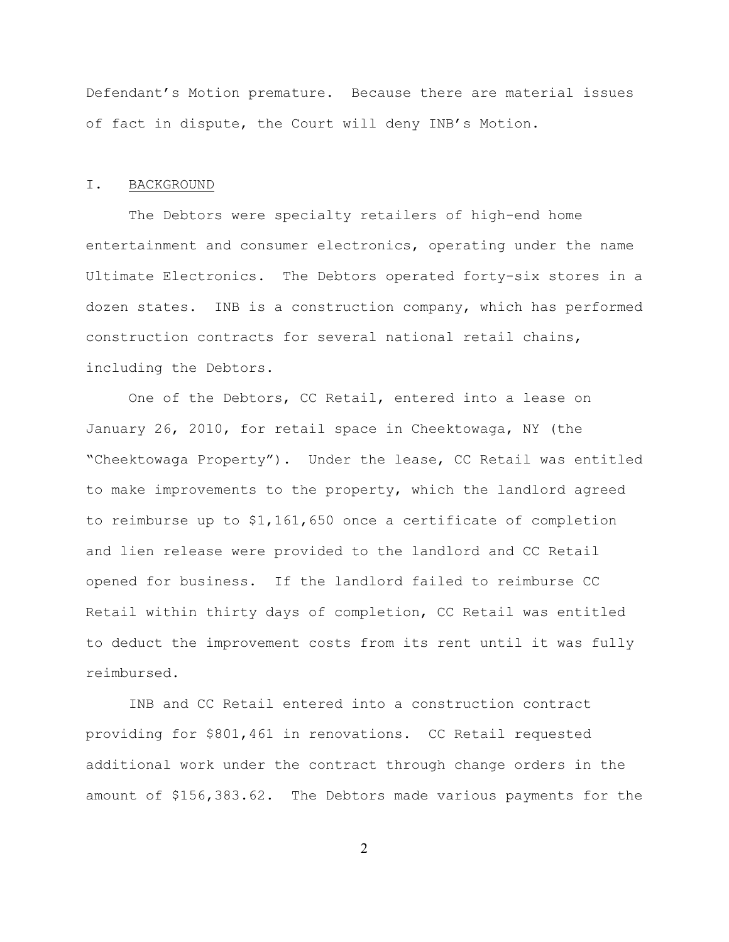Defendant's Motion premature. Because there are material issues of fact in dispute, the Court will deny INB's Motion.

#### I. BACKGROUND

The Debtors were specialty retailers of high-end home entertainment and consumer electronics, operating under the name Ultimate Electronics. The Debtors operated forty-six stores in a dozen states. INB is a construction company, which has performed construction contracts for several national retail chains, including the Debtors.

One of the Debtors, CC Retail, entered into a lease on January 26, 2010, for retail space in Cheektowaga, NY (the "Cheektowaga Property"). Under the lease, CC Retail was entitled to make improvements to the property, which the landlord agreed to reimburse up to \$1,161,650 once a certificate of completion and lien release were provided to the landlord and CC Retail opened for business. If the landlord failed to reimburse CC Retail within thirty days of completion, CC Retail was entitled to deduct the improvement costs from its rent until it was fully reimbursed.

INB and CC Retail entered into a construction contract providing for \$801,461 in renovations. CC Retail requested additional work under the contract through change orders in the amount of \$156,383.62. The Debtors made various payments for the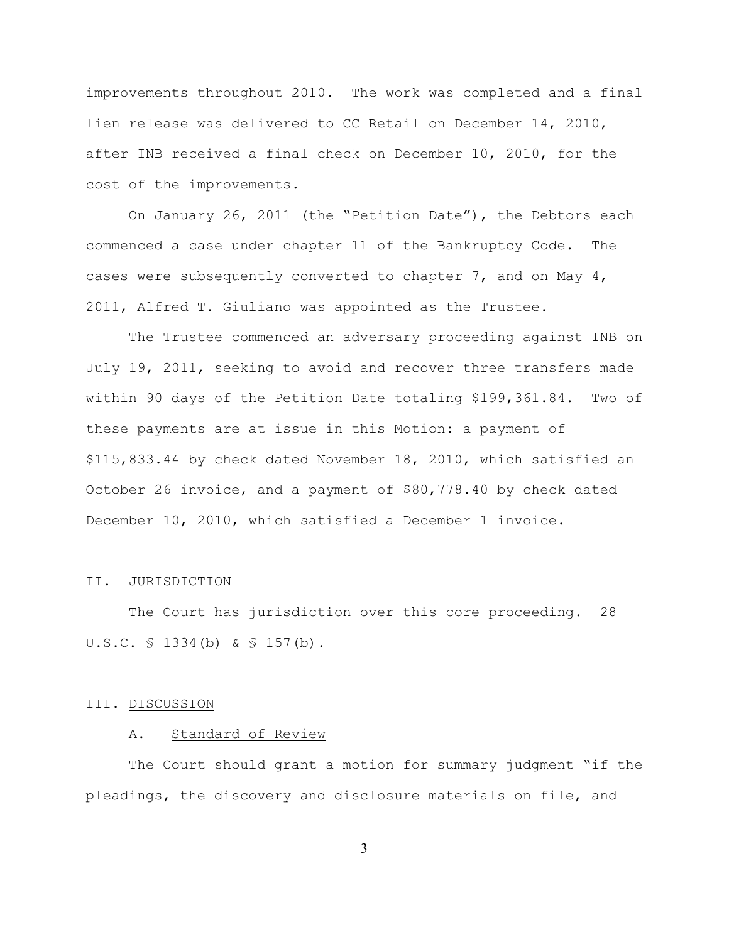improvements throughout 2010. The work was completed and a final lien release was delivered to CC Retail on December 14, 2010, after INB received a final check on December 10, 2010, for the cost of the improvements.

On January 26, 2011 (the "Petition Date"), the Debtors each commenced a case under chapter 11 of the Bankruptcy Code. The cases were subsequently converted to chapter 7, and on May  $4$ , 2011, Alfred T. Giuliano was appointed as the Trustee.

The Trustee commenced an adversary proceeding against INB on July 19, 2011, seeking to avoid and recover three transfers made within 90 days of the Petition Date totaling \$199,361.84. Two of these payments are at issue in this Motion: a payment of \$115,833.44 by check dated November 18, 2010, which satisfied an October 26 invoice, and a payment of \$80,778.40 by check dated December 10, 2010, which satisfied a December 1 invoice.

#### II. JURISDICTION

The Court has jurisdiction over this core proceeding. 28 U.S.C. § 1334(b) & § 157(b).

#### III. DISCUSSION

#### A. Standard of Review

The Court should grant a motion for summary judgment "if the pleadings, the discovery and disclosure materials on file, and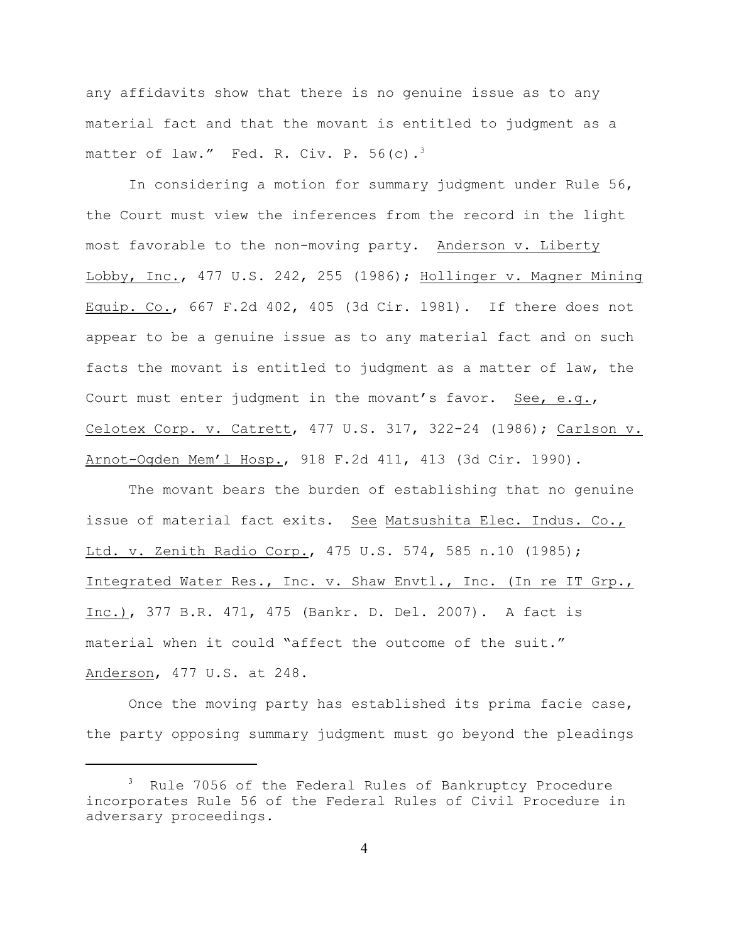any affidavits show that there is no genuine issue as to any material fact and that the movant is entitled to judgment as a matter of law." Fed. R. Civ. P.  $56(c)$ .<sup>3</sup>

In considering a motion for summary judgment under Rule 56, the Court must view the inferences from the record in the light most favorable to the non-moving party. Anderson v. Liberty Lobby, Inc., 477 U.S. 242, 255 (1986); Hollinger v. Magner Mining Equip. Co., 667 F.2d 402, 405 (3d Cir. 1981). If there does not appear to be a genuine issue as to any material fact and on such facts the movant is entitled to judgment as a matter of law, the Court must enter judgment in the movant's favor. See, e.g., Celotex Corp. v. Catrett, 477 U.S. 317, 322-24 (1986); Carlson v. Arnot-Ogden Mem'l Hosp., 918 F.2d 411, 413 (3d Cir. 1990).

The movant bears the burden of establishing that no genuine issue of material fact exits. See Matsushita Elec. Indus. Co., Ltd. v. Zenith Radio Corp., 475 U.S. 574, 585 n.10 (1985); Integrated Water Res., Inc. v. Shaw Envtl., Inc. (In re IT Grp., Inc.), 377 B.R. 471, 475 (Bankr. D. Del. 2007). A fact is material when it could "affect the outcome of the suit." Anderson, 477 U.S. at 248.

Once the moving party has established its prima facie case, the party opposing summary judgment must go beyond the pleadings

 $3$  Rule 7056 of the Federal Rules of Bankruptcy Procedure incorporates Rule 56 of the Federal Rules of Civil Procedure in adversary proceedings.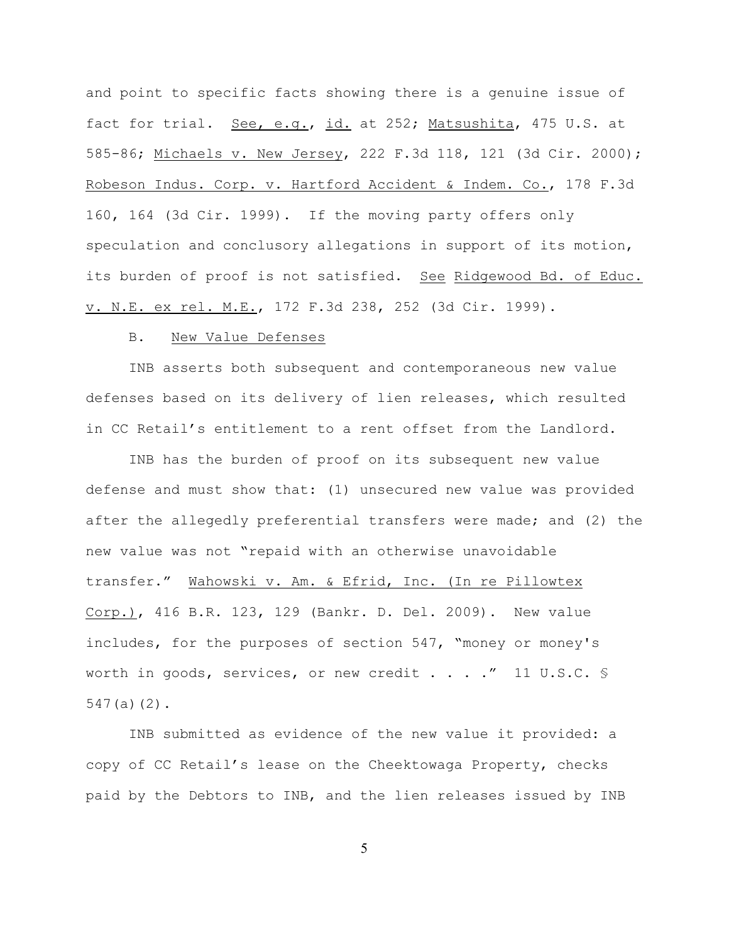and point to specific facts showing there is a genuine issue of fact for trial. See, e.g., id. at 252; Matsushita, 475 U.S. at 585-86; Michaels v. New Jersey, 222 F.3d 118, 121 (3d Cir. 2000); Robeson Indus. Corp. v. Hartford Accident & Indem. Co., 178 F.3d 160, 164 (3d Cir. 1999). If the moving party offers only speculation and conclusory allegations in support of its motion, its burden of proof is not satisfied. See Ridgewood Bd. of Educ. v. N.E. ex rel. M.E., 172 F.3d 238, 252 (3d Cir. 1999).

### B. New Value Defenses

INB asserts both subsequent and contemporaneous new value defenses based on its delivery of lien releases, which resulted in CC Retail's entitlement to a rent offset from the Landlord.

INB has the burden of proof on its subsequent new value defense and must show that: (1) unsecured new value was provided after the allegedly preferential transfers were made; and (2) the new value was not "repaid with an otherwise unavoidable transfer." Wahowski v. Am. & Efrid, Inc. (In re Pillowtex Corp.), 416 B.R. 123, 129 (Bankr. D. Del. 2009). New value includes, for the purposes of section 547, "money or money's worth in goods, services, or new credit . . . . " 11 U.S.C. § 547(a)(2).

INB submitted as evidence of the new value it provided: a copy of CC Retail's lease on the Cheektowaga Property, checks paid by the Debtors to INB, and the lien releases issued by INB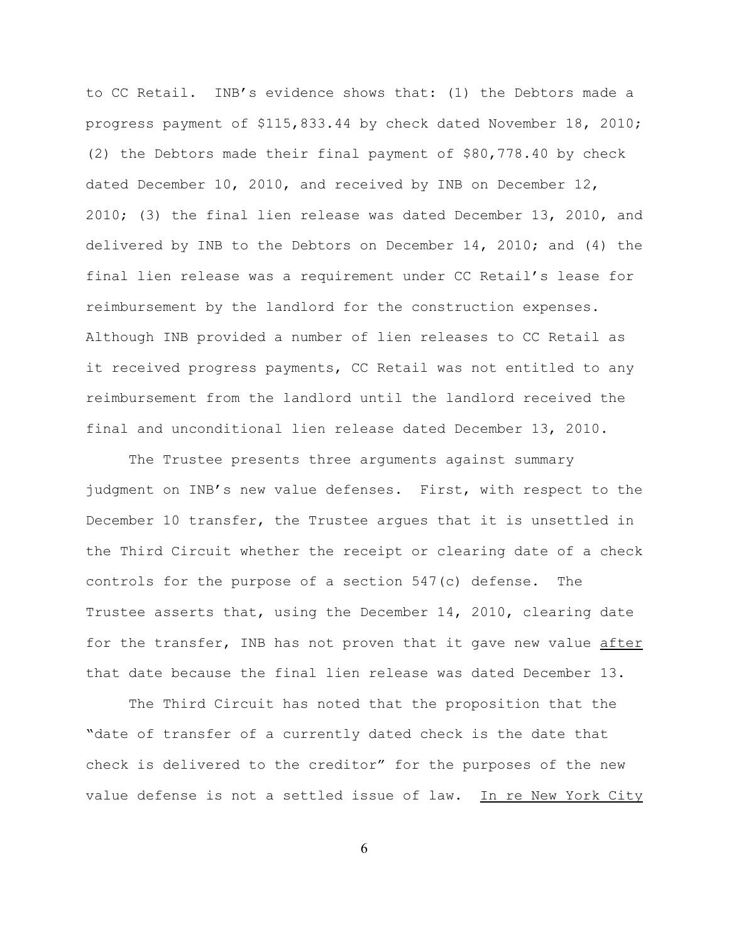to CC Retail. INB's evidence shows that: (1) the Debtors made a progress payment of \$115,833.44 by check dated November 18, 2010; (2) the Debtors made their final payment of \$80,778.40 by check dated December 10, 2010, and received by INB on December 12, 2010; (3) the final lien release was dated December 13, 2010, and delivered by INB to the Debtors on December 14, 2010; and (4) the final lien release was a requirement under CC Retail's lease for reimbursement by the landlord for the construction expenses. Although INB provided a number of lien releases to CC Retail as it received progress payments, CC Retail was not entitled to any reimbursement from the landlord until the landlord received the final and unconditional lien release dated December 13, 2010.

The Trustee presents three arguments against summary judgment on INB's new value defenses. First, with respect to the December 10 transfer, the Trustee argues that it is unsettled in the Third Circuit whether the receipt or clearing date of a check controls for the purpose of a section 547(c) defense. The Trustee asserts that, using the December 14, 2010, clearing date for the transfer, INB has not proven that it gave new value after that date because the final lien release was dated December 13.

The Third Circuit has noted that the proposition that the "date of transfer of a currently dated check is the date that check is delivered to the creditor" for the purposes of the new value defense is not a settled issue of law. In re New York City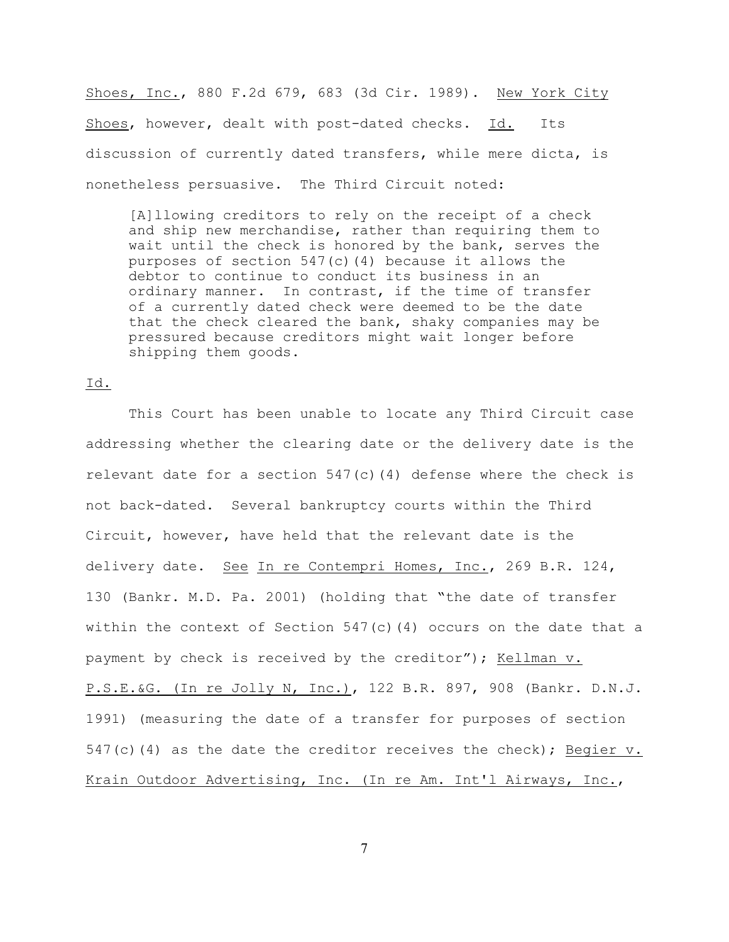Shoes, Inc., 880 F.2d 679, 683 (3d Cir. 1989). New York City Shoes, however, dealt with post-dated checks. Id. Its discussion of currently dated transfers, while mere dicta, is nonetheless persuasive. The Third Circuit noted:

[A]llowing creditors to rely on the receipt of a check and ship new merchandise, rather than requiring them to wait until the check is honored by the bank, serves the purposes of section  $547(c)$  (4) because it allows the debtor to continue to conduct its business in an ordinary manner. In contrast, if the time of transfer of a currently dated check were deemed to be the date that the check cleared the bank, shaky companies may be pressured because creditors might wait longer before shipping them goods.

#### Id.

This Court has been unable to locate any Third Circuit case addressing whether the clearing date or the delivery date is the relevant date for a section  $547(c)(4)$  defense where the check is not back-dated. Several bankruptcy courts within the Third Circuit, however, have held that the relevant date is the delivery date. See In re Contempri Homes, Inc., 269 B.R. 124, 130 (Bankr. M.D. Pa. 2001) (holding that "the date of transfer within the context of Section  $547(c)(4)$  occurs on the date that a payment by check is received by the creditor"); Kellman v. P.S.E.&G. (In re Jolly N, Inc.), 122 B.R. 897, 908 (Bankr. D.N.J. 1991) (measuring the date of a transfer for purposes of section  $547(c)$  (4) as the date the creditor receives the check); Begier v. Krain Outdoor Advertising, Inc. (In re Am. Int'l Airways, Inc.,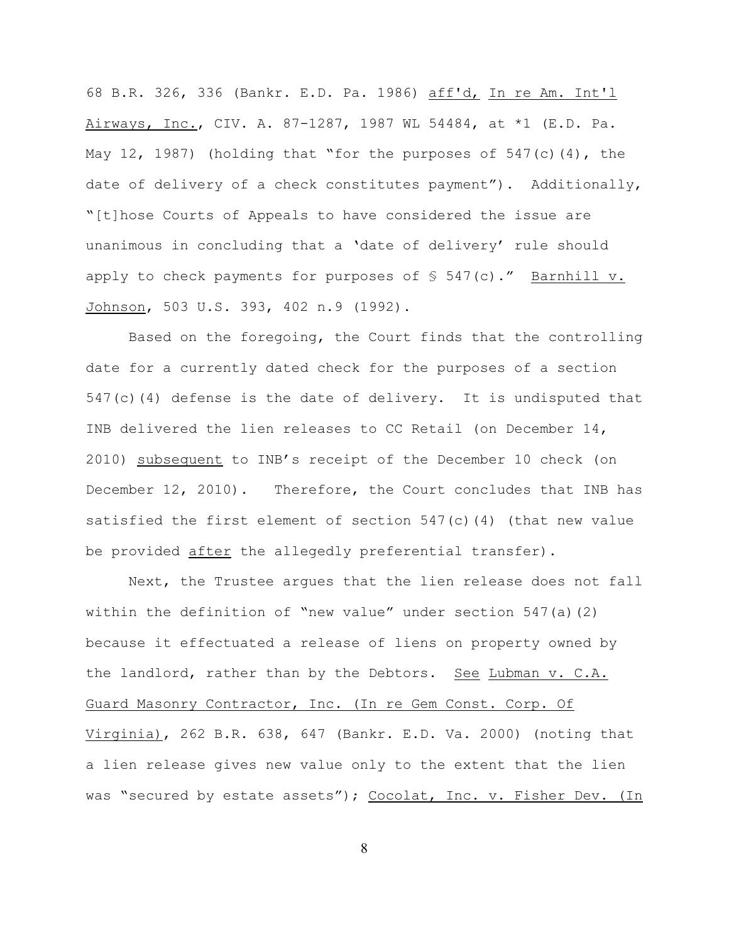68 B.R. 326, 336 (Bankr. E.D. Pa. 1986) aff'd, In re Am. Int'l Airways, Inc., CIV. A. 87-1287, 1987 WL 54484, at \*1 (E.D. Pa. May 12, 1987) (holding that "for the purposes of  $547(c)(4)$ , the date of delivery of a check constitutes payment"). Additionally, "[t]hose Courts of Appeals to have considered the issue are unanimous in concluding that a 'date of delivery' rule should apply to check payments for purposes of  $\S$  547(c)." Barnhill v. Johnson, 503 U.S. 393, 402 n.9 (1992).

Based on the foregoing, the Court finds that the controlling date for a currently dated check for the purposes of a section 547(c)(4) defense is the date of delivery. It is undisputed that INB delivered the lien releases to CC Retail (on December 14, 2010) subsequent to INB's receipt of the December 10 check (on December 12, 2010). Therefore, the Court concludes that INB has satisfied the first element of section  $547(c)(4)$  (that new value be provided after the allegedly preferential transfer).

Next, the Trustee argues that the lien release does not fall within the definition of "new value" under section  $547(a)(2)$ because it effectuated a release of liens on property owned by the landlord, rather than by the Debtors. See Lubman v. C.A. Guard Masonry Contractor, Inc. (In re Gem Const. Corp. Of Virginia), 262 B.R. 638, 647 (Bankr. E.D. Va. 2000) (noting that a lien release gives new value only to the extent that the lien was "secured by estate assets"); Cocolat, Inc. v. Fisher Dev. (In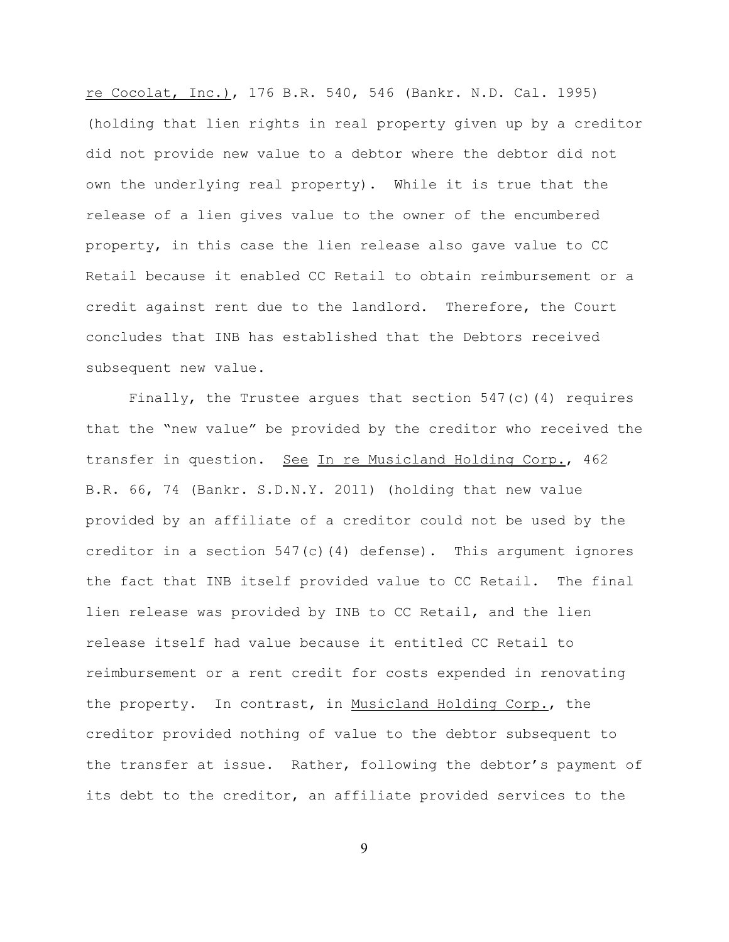re Cocolat, Inc.), 176 B.R. 540, 546 (Bankr. N.D. Cal. 1995) (holding that lien rights in real property given up by a creditor did not provide new value to a debtor where the debtor did not own the underlying real property). While it is true that the release of a lien gives value to the owner of the encumbered property, in this case the lien release also gave value to CC Retail because it enabled CC Retail to obtain reimbursement or a credit against rent due to the landlord. Therefore, the Court concludes that INB has established that the Debtors received subsequent new value.

Finally, the Trustee argues that section  $547(c)$  (4) requires that the "new value" be provided by the creditor who received the transfer in question. See In re Musicland Holding Corp., 462 B.R. 66, 74 (Bankr. S.D.N.Y. 2011) (holding that new value provided by an affiliate of a creditor could not be used by the creditor in a section 547(c)(4) defense). This argument ignores the fact that INB itself provided value to CC Retail. The final lien release was provided by INB to CC Retail, and the lien release itself had value because it entitled CC Retail to reimbursement or a rent credit for costs expended in renovating the property. In contrast, in Musicland Holding Corp., the creditor provided nothing of value to the debtor subsequent to the transfer at issue. Rather, following the debtor's payment of its debt to the creditor, an affiliate provided services to the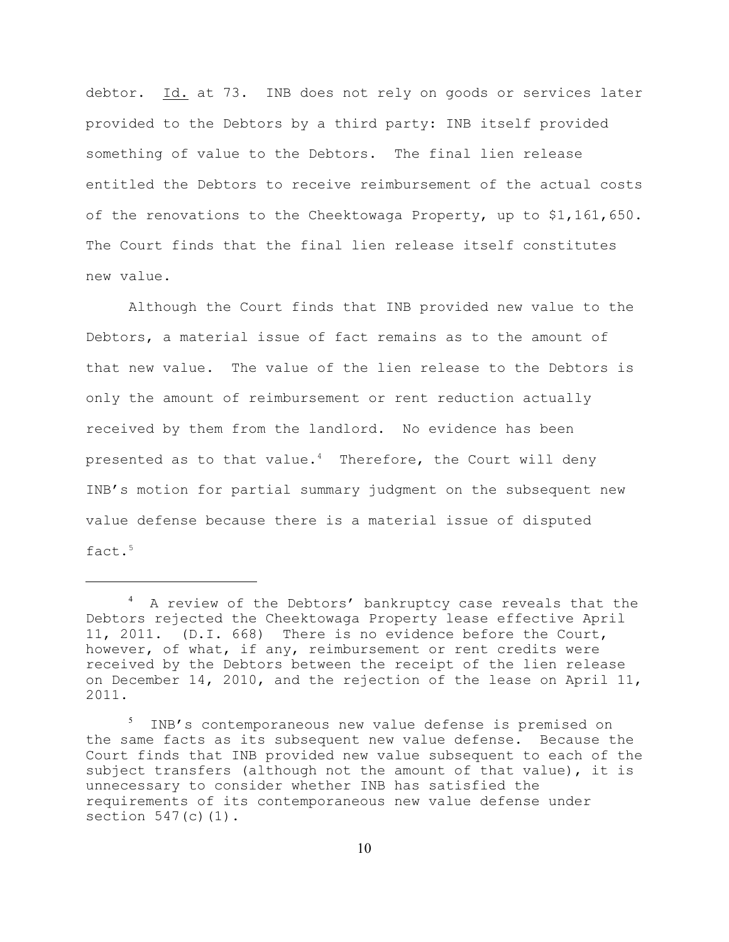debtor. Id. at 73. INB does not rely on goods or services later provided to the Debtors by a third party: INB itself provided something of value to the Debtors. The final lien release entitled the Debtors to receive reimbursement of the actual costs of the renovations to the Cheektowaga Property, up to \$1,161,650. The Court finds that the final lien release itself constitutes new value.

Although the Court finds that INB provided new value to the Debtors, a material issue of fact remains as to the amount of that new value. The value of the lien release to the Debtors is only the amount of reimbursement or rent reduction actually received by them from the landlord. No evidence has been presented as to that value.<sup>4</sup> Therefore, the Court will deny INB's motion for partial summary judgment on the subsequent new value defense because there is a material issue of disputed fact. 5

<sup>&</sup>lt;sup>4</sup> A review of the Debtors' bankruptcy case reveals that the Debtors rejected the Cheektowaga Property lease effective April 11, 2011. (D.I. 668) There is no evidence before the Court, however, of what, if any, reimbursement or rent credits were received by the Debtors between the receipt of the lien release on December 14, 2010, and the rejection of the lease on April 11, 2011.

 $5$  INB's contemporaneous new value defense is premised on the same facts as its subsequent new value defense. Because the Court finds that INB provided new value subsequent to each of the subject transfers (although not the amount of that value), it is unnecessary to consider whether INB has satisfied the requirements of its contemporaneous new value defense under section  $547(c)(1)$ .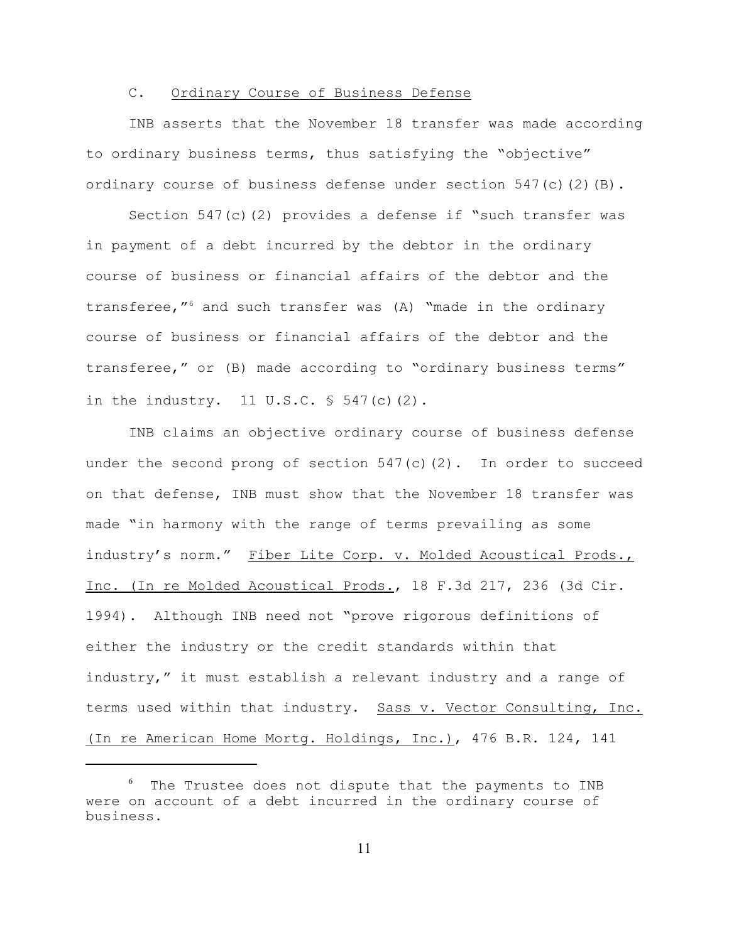## C. Ordinary Course of Business Defense

INB asserts that the November 18 transfer was made according to ordinary business terms, thus satisfying the "objective" ordinary course of business defense under section  $547(c)(2)(B)$ .

Section 547(c)(2) provides a defense if "such transfer was in payment of a debt incurred by the debtor in the ordinary course of business or financial affairs of the debtor and the transferee," $6$  and such transfer was (A) "made in the ordinary course of business or financial affairs of the debtor and the transferee," or (B) made according to "ordinary business terms" in the industry.  $11 \text{ U.S.C. }$  \$ 547(c)(2).

INB claims an objective ordinary course of business defense under the second prong of section  $547(c)(2)$ . In order to succeed on that defense, INB must show that the November 18 transfer was made "in harmony with the range of terms prevailing as some industry's norm." Fiber Lite Corp. v. Molded Acoustical Prods. Inc. (In re Molded Acoustical Prods., 18 F.3d 217, 236 (3d Cir. 1994). Although INB need not "prove rigorous definitions of either the industry or the credit standards within that industry," it must establish a relevant industry and a range of terms used within that industry. Sass v. Vector Consulting, Inc. (In re American Home Mortg. Holdings, Inc.), 476 B.R. 124, 141

 $6$  The Trustee does not dispute that the payments to INB were on account of a debt incurred in the ordinary course of business.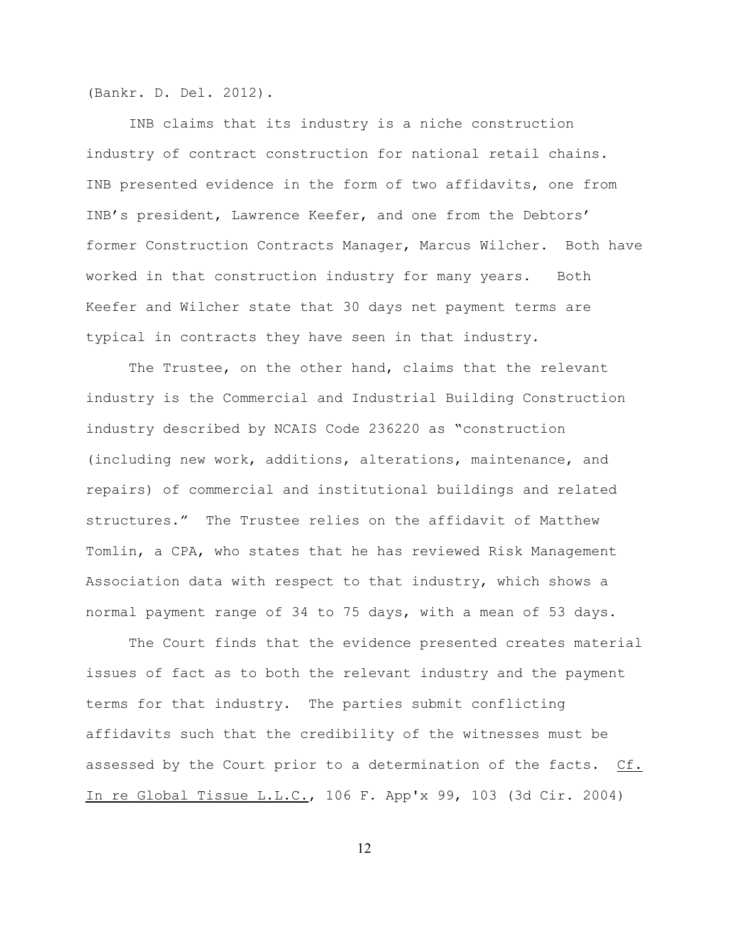(Bankr. D. Del. 2012).

INB claims that its industry is a niche construction industry of contract construction for national retail chains. INB presented evidence in the form of two affidavits, one from INB's president, Lawrence Keefer, and one from the Debtors' former Construction Contracts Manager, Marcus Wilcher. Both have worked in that construction industry for many years. Both Keefer and Wilcher state that 30 days net payment terms are typical in contracts they have seen in that industry.

The Trustee, on the other hand, claims that the relevant industry is the Commercial and Industrial Building Construction industry described by NCAIS Code 236220 as "construction (including new work, additions, alterations, maintenance, and repairs) of commercial and institutional buildings and related structures." The Trustee relies on the affidavit of Matthew Tomlin, a CPA, who states that he has reviewed Risk Management Association data with respect to that industry, which shows a normal payment range of 34 to 75 days, with a mean of 53 days.

The Court finds that the evidence presented creates material issues of fact as to both the relevant industry and the payment terms for that industry. The parties submit conflicting affidavits such that the credibility of the witnesses must be assessed by the Court prior to a determination of the facts. Cf. In re Global Tissue L.L.C., 106 F. App'x 99, 103 (3d Cir. 2004)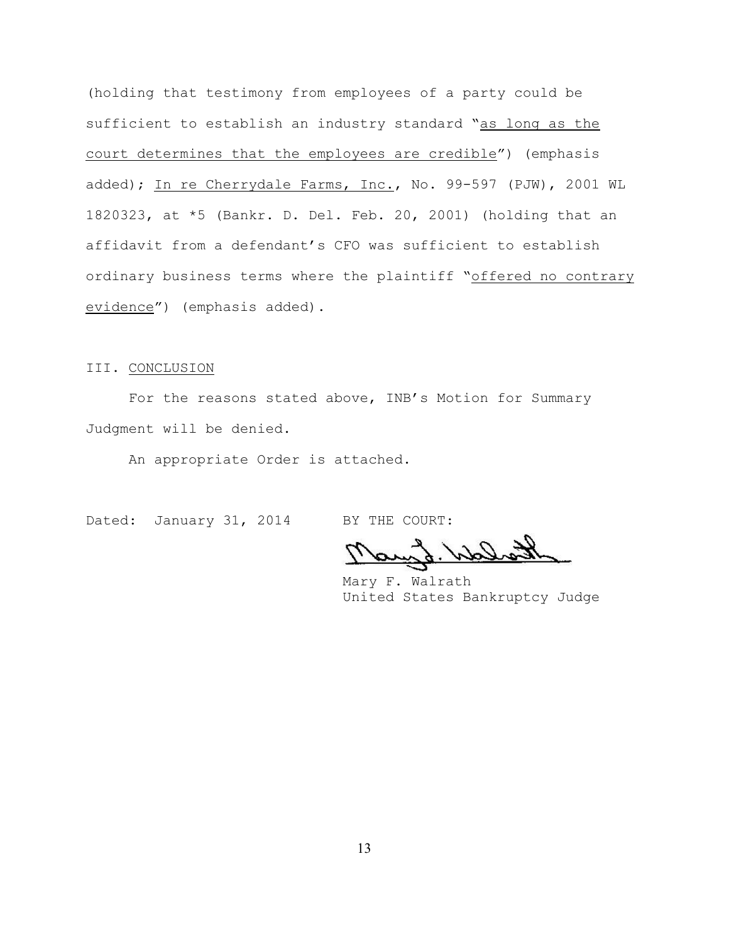(holding that testimony from employees of a party could be sufficient to establish an industry standard "as long as the court determines that the employees are credible") (emphasis added); In re Cherrydale Farms, Inc., No. 99-597 (PJW), 2001 WL 1820323, at \*5 (Bankr. D. Del. Feb. 20, 2001) (holding that an affidavit from a defendant's CFO was sufficient to establish ordinary business terms where the plaintiff "offered no contrary evidence") (emphasis added).

#### III. CONCLUSION

For the reasons stated above, INB's Motion for Summary Judgment will be denied.

An appropriate Order is attached.

Dated: January 31, 2014 BY THE COURT:

Mary F. Walrath United States Bankruptcy Judge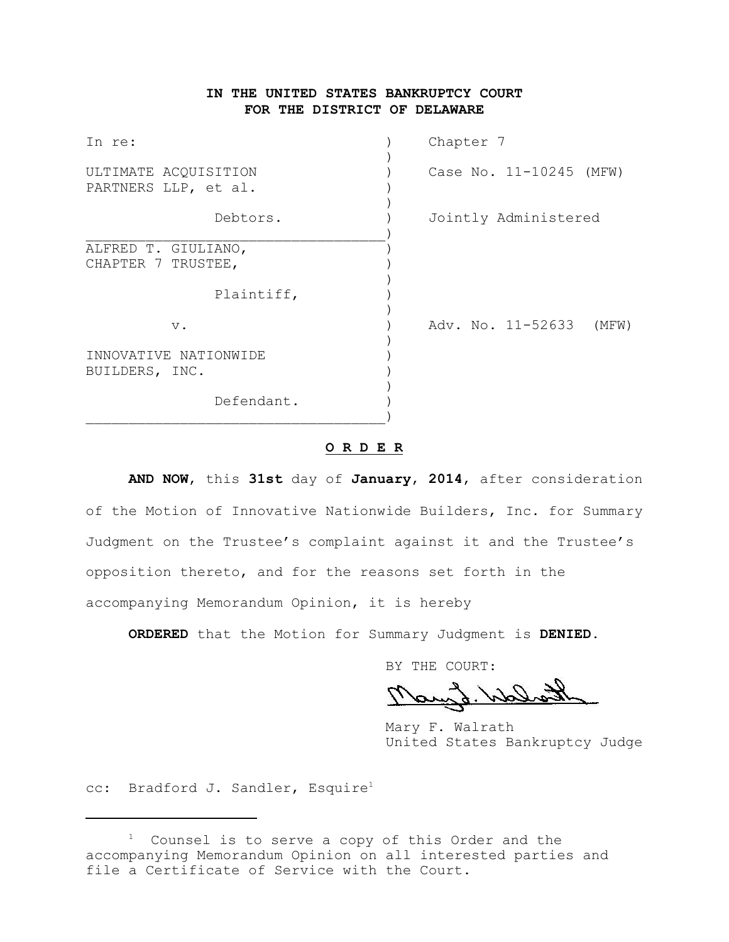# **IN THE UNITED STATES BANKRUPTCY COURT FOR THE DISTRICT OF DELAWARE**

| In re:                                       | Chapter 7                  |
|----------------------------------------------|----------------------------|
| ULTIMATE ACQUISITION<br>PARTNERS LLP, et al. | Case No. 11-10245 (MFW)    |
| Debtors.                                     | Jointly Administered       |
| ALFRED T. GIULIANO,<br>CHAPTER 7 TRUSTEE,    |                            |
| Plaintiff,                                   |                            |
| $V$ .                                        | Adv. No. 11-52633<br>(MFW) |
| INNOVATIVE NATIONWIDE<br>BUILDERS, INC.      |                            |
| Defendant.                                   |                            |

#### **O R D E R**

**AND NOW**, this **31st** day of **January**, **2014**, after consideration of the Motion of Innovative Nationwide Builders, Inc. for Summary Judgment on the Trustee's complaint against it and the Trustee's opposition thereto, and for the reasons set forth in the accompanying Memorandum Opinion, it is hereby

**ORDERED** that the Motion for Summary Judgment is **DENIED**.

BY THE COURT:

Raylo Welch

Mary F. Walrath United States Bankruptcy Judge

cc: Bradford J. Sandler, Esquire<sup>1</sup>

 $1$  Counsel is to serve a copy of this Order and the accompanying Memorandum Opinion on all interested parties and file a Certificate of Service with the Court.